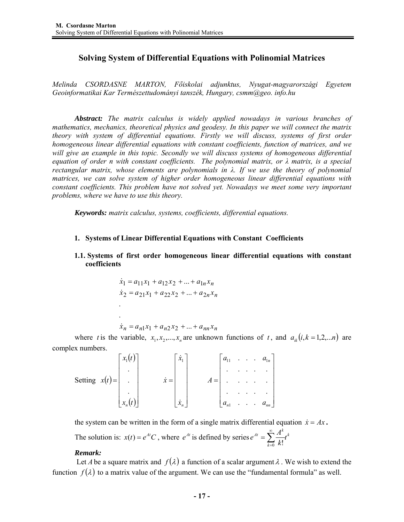# **Solving System of Differential Equations with Polinomial Matrices**

*Melinda CSORDASNE MARTON, Főiskolai adjunktus, Nyugat-magyarországi Egyetem Geoinformatikai Kar Természettudományi tanszék, Hungary, csmm@geo. info.hu* 

*Abstract: The matrix calculus is widely applied nowadays in various branches of mathematics, mechanics, theoretical physics and geodesy. In this paper we will connect the matrix theory with system of differential equations. Firstly we will discuss, systems of first order homogeneous linear differential equations with constant coefficients, function of matrices, and we will give an example in this topic. Secondly we will discuss systems of homogeneous differential equation of order n with constant coefficients. The polynomial matrix, or λ matrix, is a special rectangular matrix, whose elements are polynomials in λ. If we use the theory of polynomial matrices, we can solve system of higher order homogeneous linear differential equations with constant coefficients. This problem have not solved yet. Nowadays we meet some very important problems, where we have to use this theory.* 

*Keywords: matrix calculus, systems, coefficients, differential equations.* 

**1. Systems of Linear Differential Equations with Constant Coefficients** 

## **1.1. Systems of first order homogeneous linear differential equations with constant coefficients**

$$
\dot{x}_1 = a_{11}x_1 + a_{12}x_2 + \dots + a_{1n}x_n
$$
  
\n
$$
\dot{x}_2 = a_{21}x_1 + a_{22}x_2 + \dots + a_{2n}x_n
$$
  
\n
$$
\dot{x}_n = a_{n1}x_1 + a_{n2}x_2 + \dots + a_{nn}x_n
$$

where *t* is the variable,  $x_1, x_2, ..., x_n$  are unknown functions of *t*, and  $a_{ik}$  ( $i, k = 1, 2, ...n$ ) are complex numbers.

|                  | $\int x_1(t)$            |             | $\dot{x}_1$   |       | $a_{11}$ |  |   | $\ldots a_{n}$ |
|------------------|--------------------------|-------------|---------------|-------|----------|--|---|----------------|
|                  |                          |             |               |       |          |  |   | ۰              |
| Setting $x(t) =$ | ۰                        | $\dot{x} =$ |               | $A =$ |          |  |   |                |
|                  |                          |             |               |       |          |  |   |                |
|                  | $\lfloor x_n(t) \rfloor$ |             | $\dot{x}_{n}$ |       | $a_{n1}$ |  | ۰ | $a_{nn}$       |

the system can be written in the form of a single matrix differential equation  $\dot{x} = Ax$ . The solution is:  $x(t) = e^{At}C$ , where  $e^{At}$  is defined by series  $e^{At} = \sum_{n=1}^{n} t^{k}$ *k*  $A_t = \sum_{k=1}^{\infty} \frac{A^k}{k!} t^k$ *k*  $e^{At} = \sum_{k=1}^{\infty} \frac{A}{k}$ = =  $\frac{1}{0}$  k!

## *Remark:*

Let *A* be a square matrix and  $f(\lambda)$  a function of a scalar argument  $\lambda$ . We wish to extend the function  $f(\lambda)$  to a matrix value of the argument. We can use the "fundamental formula" as well.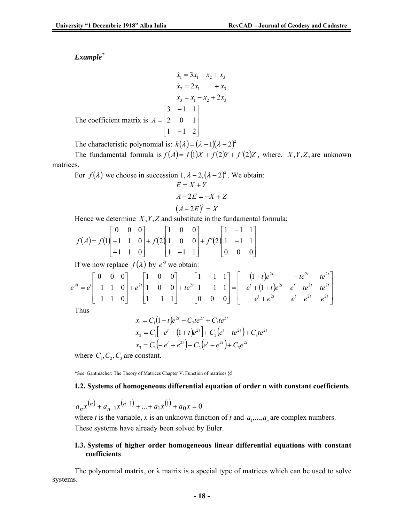*Example\**

$$
\dot{x}_1 = 3x_1 - x_2 + x_3
$$
\n
$$
\dot{x}_2 = 2x_1 + x_3
$$
\n
$$
\dot{x}_3 = x_1 - x_2 + 2x_3
$$
\nThe coefficient matrix is

\n
$$
A = \begin{bmatrix} 3 & -1 & 1 \\ 2 & 0 & 1 \\ 1 & -1 & 2 \end{bmatrix}
$$

The characteristic polynomial is:  $k(\lambda) = (\lambda - 1)(\lambda - 2)^2$ 

The fundamental formula is  $f(A) = f(1)X + f(2)Y + f'(2)Z$ , where, *X*, *Y*, *Z*, are unknown matrices.

For  $f(\lambda)$  we choose in succession  $1, \lambda - 2, (\lambda - 2)^2$ . We obtain:  $(A - 2E)^2 = X$  $A - 2E = -X + Z$  $E = X + Y$ 

Hence we determine *X*,*Y*,*Z* and substitute in the fundamental formula:

$$
f(A) = f(1) \begin{bmatrix} 0 & 0 & 0 \\ -1 & 1 & 0 \\ -1 & 1 & 0 \end{bmatrix} + f(2) \begin{bmatrix} 1 & 0 & 0 \\ 1 & 0 & 0 \\ 1 & -1 & 1 \end{bmatrix} + f'(2) \begin{bmatrix} 1 & -1 & 1 \\ 1 & -1 & 1 \\ 0 & 0 & 0 \end{bmatrix}
$$

If we now replace  $f(\lambda)$  by  $e^{\lambda t}$  we obtain:

$$
e^{At} = e^{t} \begin{bmatrix} 0 & 0 & 0 \\ -1 & 1 & 0 \\ -1 & 1 & 0 \end{bmatrix} + e^{2t} \begin{bmatrix} 1 & 0 & 0 \\ 1 & 0 & 0 \\ 1 & -1 & 1 \end{bmatrix} + te^{2t} \begin{bmatrix} 1 & -1 & 1 \\ 1 & -1 & 1 \\ 0 & 0 & 0 \end{bmatrix} = \begin{bmatrix} (1+t)e^{2t} & -te^{2t} & te^{2t} \\ -e^{t} + (1+t)e^{2t} & e^{t} - te^{2t} & te^{2t} \\ -e^{t} + e^{2t} & e^{t} - e^{2t} & e^{2t} \end{bmatrix}
$$

Thus

$$
x_1 = C_1(1+t)e^{2t} - C_2te^{2t} + C_3te^{2t}
$$
  
\n
$$
x_2 = C_1[-e^t + (1+t)e^{2t}] + C_2(e^t - te^{2t}) + C_3te^{2t}
$$
  
\n
$$
x_3 = C_1(-e^t + e^{2t}) + C_2(e^t - e^{2t}) + C_3e^{2t}
$$

where  $C_1, C_2, C_3$  are constant.

\*See Gantmacher: The Theory of Matrices Chapter V. Function of matrices §5.

#### **1.2. Systems of homogeneous differential equation of order n with constant coefficients**

$$
a_n x^{(n)} + a_{n-1} x^{(n-1)} + \dots + a_1 x^{(1)} + a_0 x = 0
$$

where *t* is the variable, *x* is an unknown function of *t* and  $a_1, \ldots, a_n$  are complex numbers. These systems have already been solved by Euler.

#### **1.3. Systems of higher order homogeneous linear differential equations with constant coefficients**

The polynomial matrix, or  $\lambda$  matrix is a special type of matrices which can be used to solve systems.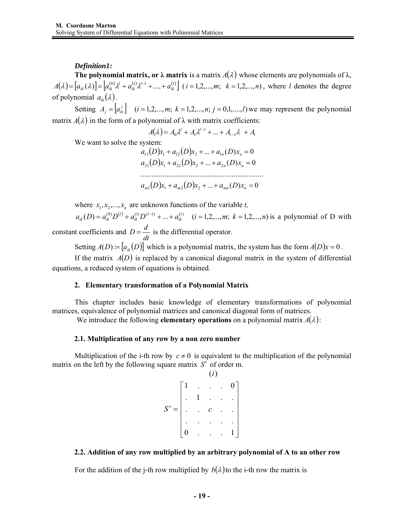## *Definition1:*

**The polynomial matrix, or**  $\lambda$  **matrix** is a matrix  $A(\lambda)$  whose elements are polynomials of  $\lambda$ ,  $A(\lambda) = [a_{ik}(\lambda)] = [a_{ik}^{(0)}\lambda^l + a_{ik}^{(1)}\lambda^{l-1} + ... + a_{ik}^{(l)}]$  (*i* = 1,2,...,*m*; *k* = 1,2,...,*n*), where *l* denotes the degree of polynomial  $a_{ik}(\lambda)$ .

Setting  $A_j = [a_{ik}^j]$   $(i = 1,2,...,m; k = 1,2,...,n; j = 0,1,...,l)$  we may represent the polynomial matrix  $A(\lambda)$  in the form of a polynomial of  $\lambda$  with matrix coefficients:

$$
A(\lambda) = A_0 \lambda^l + A_1 \lambda^{l-1} + \dots + A_{l-1} \lambda + A_l
$$

We want to solve the system:

 $a_{11}(D)x_1 + a_{12}(D)x_2 + ... + a_{1n}(D)x_n = 0$  $a_{21}(D)x_1 + a_{22}(D)x_2 + ... + a_{2n}(D)x_n = 0$  $a_{m1}(D)x_1 + a_{m2}(D)x_2 + ... + a_{mn}(D)x_n = 0$ ..................................................................

where  $x_1, x_2, \ldots, x_n$  are unknown functions of the variable *t*,

 $a_{ik}(D) = a_{ik}^{(0)}D^{(l)} + a_{ik}^{(1)}D^{(l-1)} + ... + a_{ik}^{(l)}$   $(i = 1, 2, ..., m; k = 1, 2, ..., n)$  is a polynomial of D with constant coefficients and *dt*  $D = \frac{d}{dx}$  is the differential operator.

Setting  $A(D) = [a_{ik}(D)]$  which is a polynomial matrix, the system has the form  $A(D)x = 0$ .

If the matrix  $A(D)$  is replaced by a canonical diagonal matrix in the system of differential equations, a reduced system of equations is obtained.

## **2. Elementary transformation of a Polynomial Matrix**

This chapter includes basic knowledge of elementary transformations of polynomial matrices, equivalence of polynomial matrices and canonical diagonal form of matrices.

We introduce the following **elementary operations** on a polynomial matrix  $A(\lambda)$ :

## **2.1. Multiplication of any row by a non zero number**

Multiplication of the i-th row by  $c \neq 0$  is equivalent to the multiplication of the polynomial matrix on the left by the following square matrix *S*′ of order m.

$$
S' = \begin{bmatrix} 1 & 0 & 0 \\ 0 & 1 & 0 & 0 \\ 0 & 0 & 0 & 0 \\ 0 & 0 & 0 & 0 & 0 \\ 0 & 0 & 0 & 0 & 0 \\ 0 & 0 & 0 & 0 & 0 & 0 \\ 0 & 0 & 0 & 0 & 0 & 0 \\ 0 & 0 & 0 & 0 & 0 & 0 \\ 0 & 0 & 0 & 0 & 0 & 0 \\ 0 & 0 & 0 & 0 & 0 & 0 \\ 0 & 0 & 0 & 0 & 0 & 0 \\ 0 & 0 & 0 & 0 & 0 & 0 \\ 0 & 0 & 0 & 0 & 0 & 0 \\ 0 & 0 & 0 & 0 & 0 & 0 \\ 0 & 0 & 0 & 0 & 0 & 0 \\ 0 & 0 & 0 & 0 & 0 & 0 \\ 0 & 0 & 0 & 0 & 0 & 0 \\ 0 & 0 & 0 & 0 & 0 & 0 \\ 0 & 0 & 0 & 0 & 0 & 0 \\ 0 & 0 & 0 & 0 & 0 & 0 \\ 0 & 0 & 0 & 0 & 0 & 0 \\ 0 & 0 & 0 & 0 & 0 & 0 \\ 0 & 0 & 0 & 0 & 0 & 0 \\ 0 & 0 & 0 & 0 & 0 & 0 \\ 0 & 0 & 0 & 0 & 0 & 0 \\ 0 & 0 & 0 & 0 & 0 & 0 \\ 0 & 0 & 0 & 0 & 0 & 0 \\ 0 & 0 & 0 & 0 & 0 & 0 \\ 0 & 0 &
$$

## **2.2. Addition of any row multiplied by an arbitrary polynomial of A to an other row**

For the addition of the j-th row multiplied by  $b(\lambda)$  to the i-th row the matrix is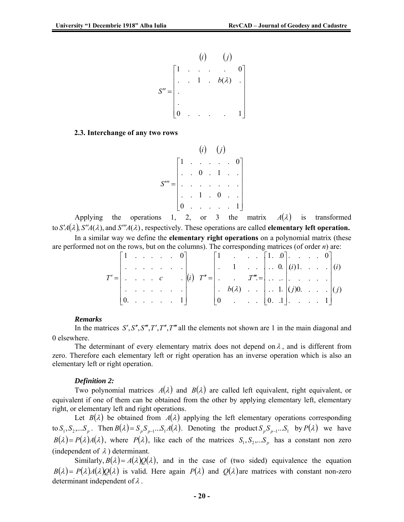$$
S'' = \begin{bmatrix} 1 & \cdots & \cdots & 0 \\ \vdots & \ddots & 1 & \cdots & b(\lambda) \\ \vdots & \vdots & \ddots & \vdots \\ 0 & \cdots & \cdots & 1 \end{bmatrix}
$$

#### **2.3. Interchange of any two rows**

$$
S''' = \begin{bmatrix} 1 & \cdots & \cdots & 0 \\ \vdots & \ddots & \vdots & \ddots & \vdots \\ \vdots & \ddots & \vdots & \ddots & \vdots \\ \vdots & \ddots & 1 & 0 & \vdots \\ 0 & \cdots & \cdots & \cdots & 1 \end{bmatrix}
$$

Applying the operations 1, 2, or 3 the matrix  $A(\lambda)$  is transformed to  $S'A(\lambda)$ ,  $S''A(\lambda)$ , and  $S'''A(\lambda)$ , respectively. These operations are called **elementary left operation.** In a similar way we define the **elementary right operations** on a polynomial matrix (these

are performed not on the rows, but on the columns). The corresponding matrices (of order *n*) are:

| $\begin{bmatrix} 1 & \ldots & \ldots & 0 \end{bmatrix}$          |  |  |                                                                                 |  |  |                                                                  |  |  | $\therefore$ $\{1, 0\}.$ $\therefore$ 0                                                     |  |  |
|------------------------------------------------------------------|--|--|---------------------------------------------------------------------------------|--|--|------------------------------------------------------------------|--|--|---------------------------------------------------------------------------------------------|--|--|
|                                                                  |  |  |                                                                                 |  |  |                                                                  |  |  | $1 \quad . \quad . \quad . \quad . \quad 0 \quad  (i)1. \quad . \quad . \quad . \quad  (i)$ |  |  |
|                                                                  |  |  |                                                                                 |  |  |                                                                  |  |  |                                                                                             |  |  |
|                                                                  |  |  | $\mathbb{E}\left[\left\{x_{1},\ldots,x_{n}\right\},\left\{x_{n}\right\}\right]$ |  |  | . $b(\lambda)$   . 1. $ (j)0$ $ (j)$                             |  |  |                                                                                             |  |  |
| $\begin{bmatrix} 0 & \ldots & \ldots & \ldots & 1 \end{bmatrix}$ |  |  |                                                                                 |  |  | $\begin{bmatrix} 0 & \ldots & \ldots & 0 & 1 \end{bmatrix}$ ,  1 |  |  |                                                                                             |  |  |

#### *Remarks*

In the matrices *S'*, *S''*, *S'''*, *T''*, *T''*, *T''* all the elements not shown are 1 in the main diagonal and 0 elsewhere.

The determinant of every elementary matrix does not depend on  $\lambda$ , and is different from zero. Therefore each elementary left or right operation has an inverse operation which is also an elementary left or right operation.

#### *Definition 2:*

Two polynomial matrices  $A(\lambda)$  and  $B(\lambda)$  are called left equivalent, right equivalent, or equivalent if one of them can be obtained from the other by applying elementary left, elementary right, or elementary left and right operations.

Let  $B(\lambda)$  be obtained from  $A(\lambda)$  applying the left elementary operations corresponding to  $S_1, S_2, \ldots, S_p$ . Then  $B(\lambda) = S_p S_{p-1} \ldots S_1 A(\lambda)$ . Denoting the product  $S_p S_{p-1} \ldots S_1$  by  $P(\lambda)$  we have  $B(\lambda) = P(\lambda)A(\lambda)$ , where  $P(\lambda)$ , like each of the matrices  $S_1, S_2,...S_p$  has a constant non zero (independent of  $\lambda$ ) determinant.

Similarly,  $B(\lambda) = A(\lambda)Q(\lambda)$ , and in the case of (two sided) equivalence the equation  $B(\lambda) = P(\lambda)A(\lambda)Q(\lambda)$  is valid. Here again  $P(\lambda)$  and  $Q(\lambda)$  are matrices with constant non-zero determinant independent of  $\lambda$ .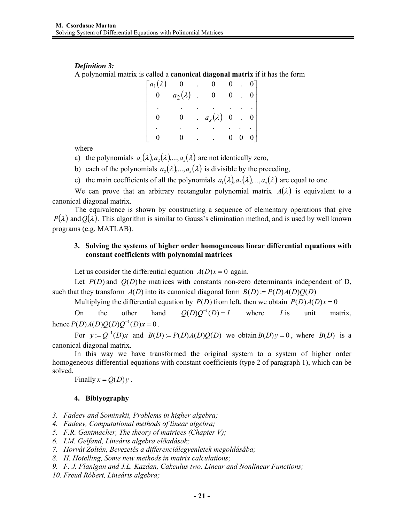# *Definition 3:*

A polynomial matrix is called a **canonical diagonal matrix** if it has the form

| $[a_1(\lambda) 0]$ |                |                                |                | $\begin{bmatrix} 0 \end{bmatrix}$     |
|--------------------|----------------|--------------------------------|----------------|---------------------------------------|
| $\mathbf{0}$       | $a_2(\lambda)$ | $\mathbf{0}$                   |                | $\begin{bmatrix} 0 & 0 \end{bmatrix}$ |
|                    |                |                                |                |                                       |
| 0                  | 0              | $a_s(\lambda) \quad 0 \quad 0$ |                |                                       |
|                    |                |                                |                |                                       |
|                    |                | $\mathcal{L}^{\text{max}}$ .   | $\overline{0}$ | $0 \quad 0$                           |

where

a) the polynomials  $a_1(\lambda), a_2(\lambda), \ldots, a_n(\lambda)$  are not identically zero,

b) each of the polynomials  $a_2(\lambda)$ ,...,  $a_3(\lambda)$  is divisible by the preceding,

c) the main coefficients of all the polynomials  $a_1(\lambda), a_2(\lambda), \ldots, a_k(\lambda)$  are equal to one.

We can prove that an arbitrary rectangular polynomial matrix  $A(\lambda)$  is equivalent to a canonical diagonal matrix.

The equivalence is shown by constructing a sequence of elementary operations that give  $P(\lambda)$  and  $Q(\lambda)$ . This algorithm is similar to Gauss's elimination method, and is used by well known programs (e.g. MATLAB).

## **3. Solving the systems of higher order homogeneous linear differential equations with constant coefficients with polynomial matrices**

Let us consider the differential equation  $A(D)x = 0$  again.

Let  $P(D)$  and  $Q(D)$  be matrices with constants non-zero determinants independent of D, such that they transform  $A(D)$  into its canonical diagonal form  $B(D) = P(D)A(D)O(D)$ 

Multiplying the differential equation by  $P(D)$  from left, then we obtain  $P(D)A(D)x = 0$ 

On the other hand  $O(D)O^{-1}(D) = I$  where *I* is unit matrix, hence  $P(D)A(D)Q(D)Q^{-1}(D)x = 0$ .

For  $y := Q^{-1}(D)x$  and  $B(D) = P(D)A(D)Q(D)$  we obtain  $B(D)y = 0$ , where  $B(D)$  is a canonical diagonal matrix.

In this way we have transformed the original system to a system of higher order homogeneous differential equations with constant coefficients (type 2 of paragraph 1), which can be solved.

Finally  $x = Q(D)y$ .

#### **4. Biblyography**

*3. Fadeev and Sominskii, Problems in higher algebra;* 

*4. Fadeev, Computational methods of linear algebra;* 

- *5. F.R. Gantmacher, The theory of matrices (Chapter V);*
- *6. I.M. Gelfand, Lineáris algebra előadások;*

*7. Horvát Zoltán, Bevezetés a differenciálegyenletek megoldásába;* 

*8. H. Hotelling, Some new methods in matrix calculations;* 

*9. F. J. Flanigan and J.L. Kazdan, Cakculus two. Linear and Nonlinear Functions;* 

*10. Freud Róbert, Lineáris algebra;*